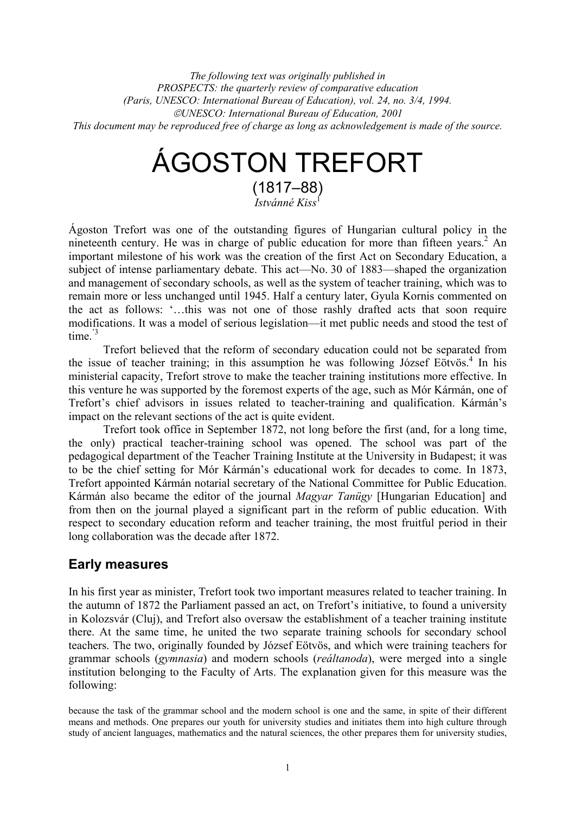*The following text was originally published in PROSPECTS: the quarterly review of comparative education (Paris, UNESCO: International Bureau of Education), vol. 24, no. 3/4, 1994. UNESCO: International Bureau of Education, 2001 This document may be reproduced free of charge as long as acknowledgement is made of the source.* 

# ÁGOSTON TREFORT

(1817–88) *Istvánné Kiss*<sup>1</sup>

Ágoston Trefort was one of the outstanding figures of Hungarian cultural policy in the nineteenth century. He was in charge of public education for more than fifteen years.<sup>2</sup> An important milestone of his work was the creation of the first Act on Secondary Education, a subject of intense parliamentary debate. This act—No. 30 of 1883—shaped the organization and management of secondary schools, as well as the system of teacher training, which was to remain more or less unchanged until 1945. Half a century later, Gyula Kornis commented on the act as follows: '…this was not one of those rashly drafted acts that soon require modifications. It was a model of serious legislation—it met public needs and stood the test of time<sup>'3</sup>

Trefort believed that the reform of secondary education could not be separated from the issue of teacher training; in this assumption he was following József Eötvös.<sup>4</sup> In his ministerial capacity, Trefort strove to make the teacher training institutions more effective. In this venture he was supported by the foremost experts of the age, such as Mór Kármán, one of Trefort's chief advisors in issues related to teacher-training and qualification. Kármán's impact on the relevant sections of the act is quite evident.

Trefort took office in September 1872, not long before the first (and, for a long time, the only) practical teacher-training school was opened. The school was part of the pedagogical department of the Teacher Training Institute at the University in Budapest; it was to be the chief setting for Mór Kármán's educational work for decades to come. In 1873, Trefort appointed Kármán notarial secretary of the National Committee for Public Education. Kármán also became the editor of the journal *Magyar Tanügy* [Hungarian Education] and from then on the journal played a significant part in the reform of public education. With respect to secondary education reform and teacher training, the most fruitful period in their long collaboration was the decade after 1872.

## **Early measures**

In his first year as minister, Trefort took two important measures related to teacher training. In the autumn of 1872 the Parliament passed an act, on Trefort's initiative, to found a university in Kolozsvár (Cluj), and Trefort also oversaw the establishment of a teacher training institute there. At the same time, he united the two separate training schools for secondary school teachers. The two, originally founded by József Eötvös, and which were training teachers for grammar schools (*gymnasia*) and modern schools (*reáltanoda*), were merged into a single institution belonging to the Faculty of Arts. The explanation given for this measure was the following:

because the task of the grammar school and the modern school is one and the same, in spite of their different means and methods. One prepares our youth for university studies and initiates them into high culture through study of ancient languages, mathematics and the natural sciences, the other prepares them for university studies,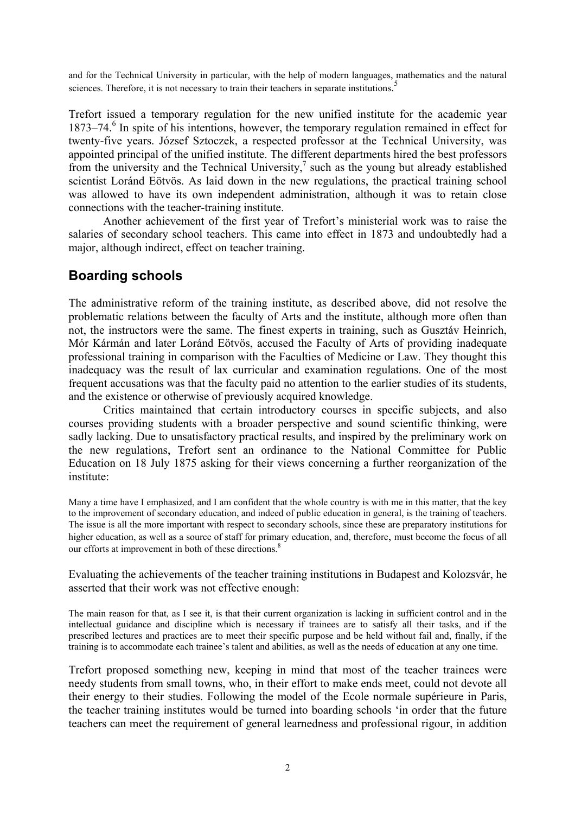and for the Technical University in particular, with the help of modern languages, mathematics and the natural sciences. Therefore, it is not necessary to train their teachers in separate institutions.<sup>5</sup>

Trefort issued a temporary regulation for the new unified institute for the academic year 1873–74.<sup>6</sup> In spite of his intentions, however, the temporary regulation remained in effect for twenty-five years. József Sztoczek, a respected professor at the Technical University, was appointed principal of the unified institute. The different departments hired the best professors from the university and the Technical University, $\frac{7}{1}$  such as the young but already established scientist Loránd Eötvös. As laid down in the new regulations, the practical training school was allowed to have its own independent administration, although it was to retain close connections with the teacher-training institute.

Another achievement of the first year of Trefort's ministerial work was to raise the salaries of secondary school teachers. This came into effect in 1873 and undoubtedly had a major, although indirect, effect on teacher training.

# **Boarding schools**

The administrative reform of the training institute, as described above, did not resolve the problematic relations between the faculty of Arts and the institute, although more often than not, the instructors were the same. The finest experts in training, such as Gusztáv Heinrich, Mór Kármán and later Loránd Eötvös, accused the Faculty of Arts of providing inadequate professional training in comparison with the Faculties of Medicine or Law. They thought this inadequacy was the result of lax curricular and examination regulations. One of the most frequent accusations was that the faculty paid no attention to the earlier studies of its students, and the existence or otherwise of previously acquired knowledge.

Critics maintained that certain introductory courses in specific subjects, and also courses providing students with a broader perspective and sound scientific thinking, were sadly lacking. Due to unsatisfactory practical results, and inspired by the preliminary work on the new regulations, Trefort sent an ordinance to the National Committee for Public Education on 18 July 1875 asking for their views concerning a further reorganization of the institute:

Many a time have I emphasized, and I am confident that the whole country is with me in this matter, that the key to the improvement of secondary education, and indeed of public education in general, is the training of teachers. The issue is all the more important with respect to secondary schools, since these are preparatory institutions for higher education, as well as a source of staff for primary education, and, therefore, must become the focus of all our efforts at improvement in both of these directions.<sup>8</sup>

Evaluating the achievements of the teacher training institutions in Budapest and Kolozsvár, he asserted that their work was not effective enough:

The main reason for that, as I see it, is that their current organization is lacking in sufficient control and in the intellectual guidance and discipline which is necessary if trainees are to satisfy all their tasks, and if the prescribed lectures and practices are to meet their specific purpose and be held without fail and, finally, if the training is to accommodate each trainee's talent and abilities, as well as the needs of education at any one time.

Trefort proposed something new, keeping in mind that most of the teacher trainees were needy students from small towns, who, in their effort to make ends meet, could not devote all their energy to their studies. Following the model of the Ecole normale supérieure in Paris, the teacher training institutes would be turned into boarding schools 'in order that the future teachers can meet the requirement of general learnedness and professional rigour, in addition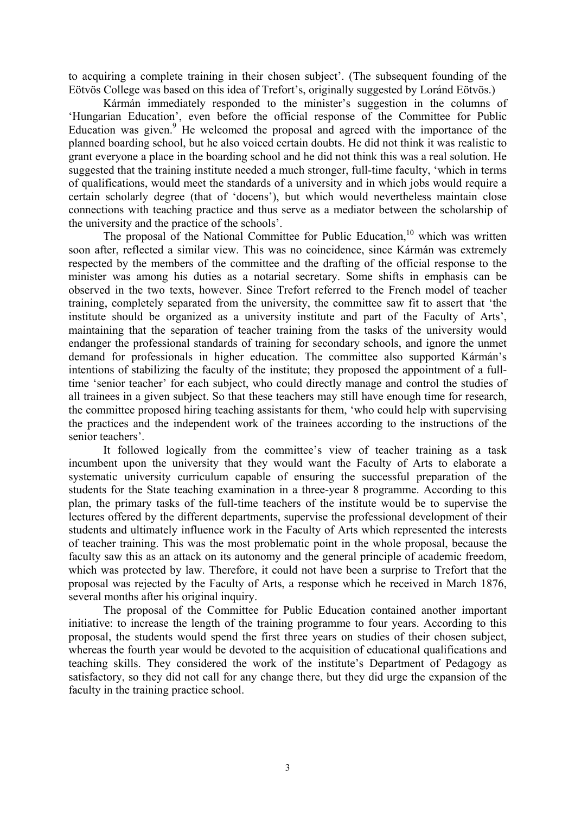to acquiring a complete training in their chosen subject'. (The subsequent founding of the Eötvös College was based on this idea of Trefort's, originally suggested by Loránd Eötvös.)

Kármán immediately responded to the minister's suggestion in the columns of 'Hungarian Education', even before the official response of the Committee for Public Education was given. $9$  He welcomed the proposal and agreed with the importance of the planned boarding school, but he also voiced certain doubts. He did not think it was realistic to grant everyone a place in the boarding school and he did not think this was a real solution. He suggested that the training institute needed a much stronger, full-time faculty, 'which in terms of qualifications, would meet the standards of a university and in which jobs would require a certain scholarly degree (that of 'docens'), but which would nevertheless maintain close connections with teaching practice and thus serve as a mediator between the scholarship of the university and the practice of the schools'.

The proposal of the National Committee for Public Education,<sup>10</sup> which was written soon after, reflected a similar view. This was no coincidence, since Kármán was extremely respected by the members of the committee and the drafting of the official response to the minister was among his duties as a notarial secretary. Some shifts in emphasis can be observed in the two texts, however. Since Trefort referred to the French model of teacher training, completely separated from the university, the committee saw fit to assert that 'the institute should be organized as a university institute and part of the Faculty of Arts', maintaining that the separation of teacher training from the tasks of the university would endanger the professional standards of training for secondary schools, and ignore the unmet demand for professionals in higher education. The committee also supported Kármán's intentions of stabilizing the faculty of the institute; they proposed the appointment of a fulltime 'senior teacher' for each subject, who could directly manage and control the studies of all trainees in a given subject. So that these teachers may still have enough time for research, the committee proposed hiring teaching assistants for them, 'who could help with supervising the practices and the independent work of the trainees according to the instructions of the senior teachers'.

It followed logically from the committee's view of teacher training as a task incumbent upon the university that they would want the Faculty of Arts to elaborate a systematic university curriculum capable of ensuring the successful preparation of the students for the State teaching examination in a three-year 8 programme. According to this plan, the primary tasks of the full-time teachers of the institute would be to supervise the lectures offered by the different departments, supervise the professional development of their students and ultimately influence work in the Faculty of Arts which represented the interests of teacher training. This was the most problematic point in the whole proposal, because the faculty saw this as an attack on its autonomy and the general principle of academic freedom, which was protected by law. Therefore, it could not have been a surprise to Trefort that the proposal was rejected by the Faculty of Arts, a response which he received in March 1876, several months after his original inquiry.

The proposal of the Committee for Public Education contained another important initiative: to increase the length of the training programme to four years. According to this proposal, the students would spend the first three years on studies of their chosen subject, whereas the fourth year would be devoted to the acquisition of educational qualifications and teaching skills. They considered the work of the institute's Department of Pedagogy as satisfactory, so they did not call for any change there, but they did urge the expansion of the faculty in the training practice school.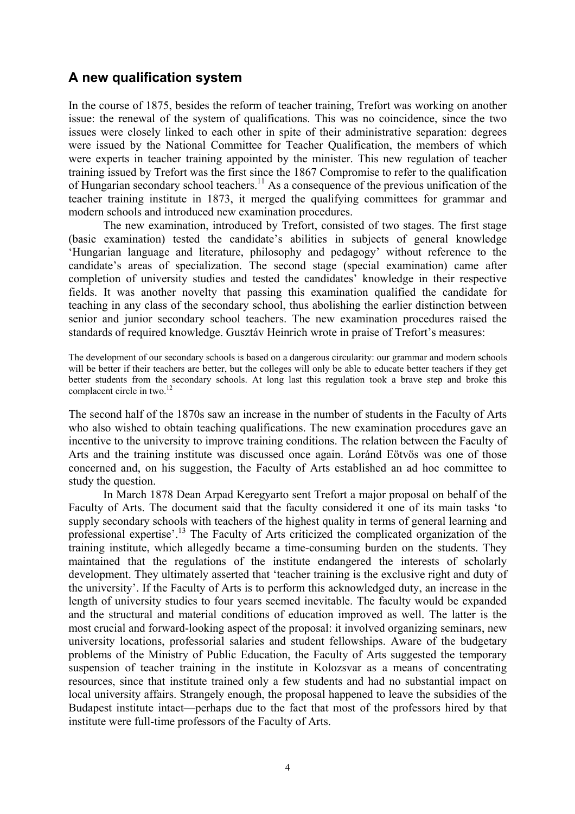# **A new qualification system**

In the course of 1875, besides the reform of teacher training, Trefort was working on another issue: the renewal of the system of qualifications. This was no coincidence, since the two issues were closely linked to each other in spite of their administrative separation: degrees were issued by the National Committee for Teacher Qualification, the members of which were experts in teacher training appointed by the minister. This new regulation of teacher training issued by Trefort was the first since the 1867 Compromise to refer to the qualification of Hungarian secondary school teachers.<sup>11</sup> As a consequence of the previous unification of the teacher training institute in 1873, it merged the qualifying committees for grammar and modern schools and introduced new examination procedures.

The new examination, introduced by Trefort, consisted of two stages. The first stage (basic examination) tested the candidate's abilities in subjects of general knowledge 'Hungarian language and literature, philosophy and pedagogy' without reference to the candidate's areas of specialization. The second stage (special examination) came after completion of university studies and tested the candidates' knowledge in their respective fields. It was another novelty that passing this examination qualified the candidate for teaching in any class of the secondary school, thus abolishing the earlier distinction between senior and junior secondary school teachers. The new examination procedures raised the standards of required knowledge. Gusztáv Heinrich wrote in praise of Trefort's measures:

The development of our secondary schools is based on a dangerous circularity: our grammar and modern schools will be better if their teachers are better, but the colleges will only be able to educate better teachers if they get better students from the secondary schools. At long last this regulation took a brave step and broke this complacent circle in two.<sup>12</sup>

The second half of the 1870s saw an increase in the number of students in the Faculty of Arts who also wished to obtain teaching qualifications. The new examination procedures gave an incentive to the university to improve training conditions. The relation between the Faculty of Arts and the training institute was discussed once again. Loránd Eötvös was one of those concerned and, on his suggestion, the Faculty of Arts established an ad hoc committee to study the question.

In March 1878 Dean Arpad Keregyarto sent Trefort a major proposal on behalf of the Faculty of Arts. The document said that the faculty considered it one of its main tasks 'to supply secondary schools with teachers of the highest quality in terms of general learning and professional expertise'.13 The Faculty of Arts criticized the complicated organization of the training institute, which allegedly became a time-consuming burden on the students. They maintained that the regulations of the institute endangered the interests of scholarly development. They ultimately asserted that 'teacher training is the exclusive right and duty of the university'. If the Faculty of Arts is to perform this acknowledged duty, an increase in the length of university studies to four years seemed inevitable. The faculty would be expanded and the structural and material conditions of education improved as well. The latter is the most crucial and forward-looking aspect of the proposal: it involved organizing seminars, new university locations, professorial salaries and student fellowships. Aware of the budgetary problems of the Ministry of Public Education, the Faculty of Arts suggested the temporary suspension of teacher training in the institute in Kolozsvar as a means of concentrating resources, since that institute trained only a few students and had no substantial impact on local university affairs. Strangely enough, the proposal happened to leave the subsidies of the Budapest institute intact—perhaps due to the fact that most of the professors hired by that institute were full-time professors of the Faculty of Arts.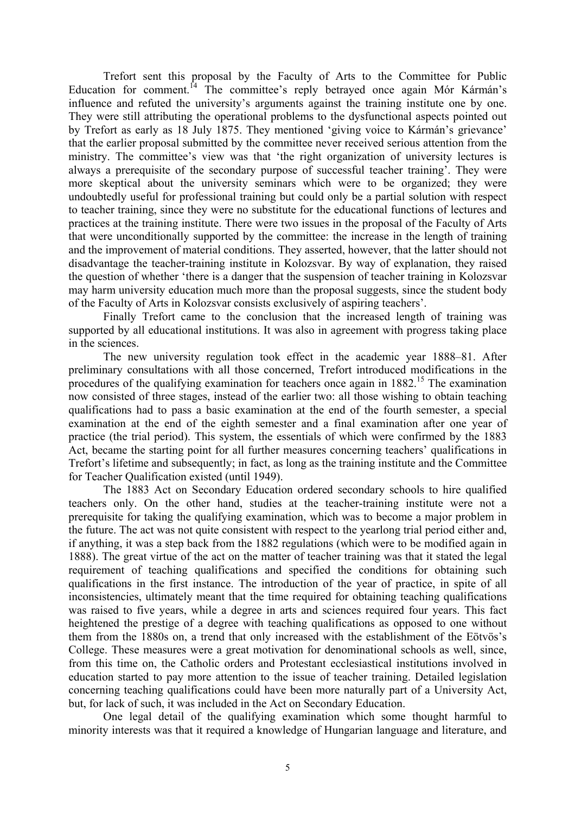Trefort sent this proposal by the Faculty of Arts to the Committee for Public Education for comment.<sup>14</sup> The committee's reply betrayed once again Mór Kármán's influence and refuted the university's arguments against the training institute one by one. They were still attributing the operational problems to the dysfunctional aspects pointed out by Trefort as early as 18 July 1875. They mentioned 'giving voice to Kármán's grievance' that the earlier proposal submitted by the committee never received serious attention from the ministry. The committee's view was that 'the right organization of university lectures is always a prerequisite of the secondary purpose of successful teacher training'. They were more skeptical about the university seminars which were to be organized; they were undoubtedly useful for professional training but could only be a partial solution with respect to teacher training, since they were no substitute for the educational functions of lectures and practices at the training institute. There were two issues in the proposal of the Faculty of Arts that were unconditionally supported by the committee: the increase in the length of training and the improvement of material conditions. They asserted, however, that the latter should not disadvantage the teacher-training institute in Kolozsvar. By way of explanation, they raised the question of whether 'there is a danger that the suspension of teacher training in Kolozsvar may harm university education much more than the proposal suggests, since the student body of the Faculty of Arts in Kolozsvar consists exclusively of aspiring teachers'.

Finally Trefort came to the conclusion that the increased length of training was supported by all educational institutions. It was also in agreement with progress taking place in the sciences.

The new university regulation took effect in the academic year 1888–81. After preliminary consultations with all those concerned, Trefort introduced modifications in the procedures of the qualifying examination for teachers once again in  $1882$ <sup> $15$ </sup>. The examination now consisted of three stages, instead of the earlier two: all those wishing to obtain teaching qualifications had to pass a basic examination at the end of the fourth semester, a special examination at the end of the eighth semester and a final examination after one year of practice (the trial period). This system, the essentials of which were confirmed by the 1883 Act, became the starting point for all further measures concerning teachers' qualifications in Trefort's lifetime and subsequently; in fact, as long as the training institute and the Committee for Teacher Qualification existed (until 1949).

The 1883 Act on Secondary Education ordered secondary schools to hire qualified teachers only. On the other hand, studies at the teacher-training institute were not a prerequisite for taking the qualifying examination, which was to become a major problem in the future. The act was not quite consistent with respect to the yearlong trial period either and, if anything, it was a step back from the 1882 regulations (which were to be modified again in 1888). The great virtue of the act on the matter of teacher training was that it stated the legal requirement of teaching qualifications and specified the conditions for obtaining such qualifications in the first instance. The introduction of the year of practice, in spite of all inconsistencies, ultimately meant that the time required for obtaining teaching qualifications was raised to five years, while a degree in arts and sciences required four years. This fact heightened the prestige of a degree with teaching qualifications as opposed to one without them from the 1880s on, a trend that only increased with the establishment of the Eötvös's College. These measures were a great motivation for denominational schools as well, since, from this time on, the Catholic orders and Protestant ecclesiastical institutions involved in education started to pay more attention to the issue of teacher training. Detailed legislation concerning teaching qualifications could have been more naturally part of a University Act, but, for lack of such, it was included in the Act on Secondary Education.

One legal detail of the qualifying examination which some thought harmful to minority interests was that it required a knowledge of Hungarian language and literature, and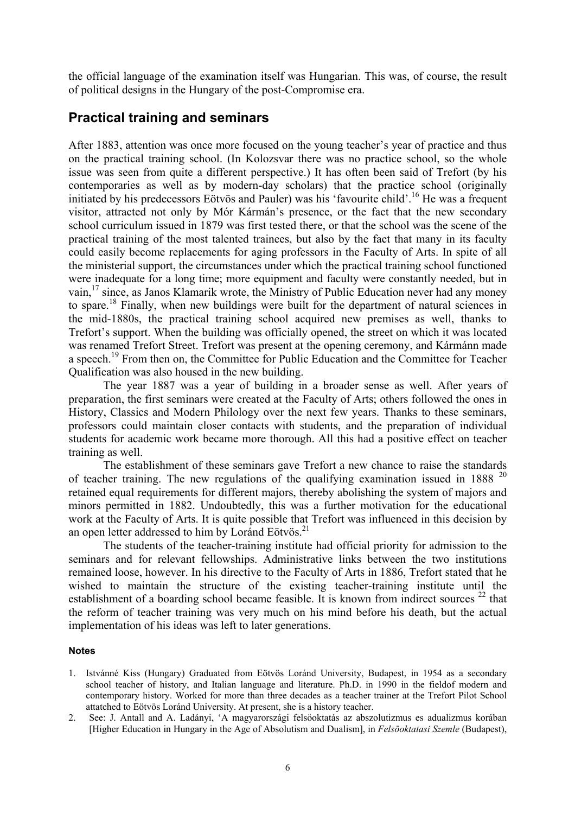the official language of the examination itself was Hungarian. This was, of course, the result of political designs in the Hungary of the post-Compromise era.

## **Practical training and seminars**

After 1883, attention was once more focused on the young teacher's year of practice and thus on the practical training school. (In Kolozsvar there was no practice school, so the whole issue was seen from quite a different perspective.) It has often been said of Trefort (by his contemporaries as well as by modern-day scholars) that the practice school (originally initiated by his predecessors Eötvös and Pauler) was his 'favourite child'.<sup>16</sup> He was a frequent visitor, attracted not only by Mór Kármán's presence, or the fact that the new secondary school curriculum issued in 1879 was first tested there, or that the school was the scene of the practical training of the most talented trainees, but also by the fact that many in its faculty could easily become replacements for aging professors in the Faculty of Arts. In spite of all the ministerial support, the circumstances under which the practical training school functioned were inadequate for a long time; more equipment and faculty were constantly needed, but in vain,17 since, as Janos Klamarik wrote, the Ministry of Public Education never had any money to spare.<sup>18</sup> Finally, when new buildings were built for the department of natural sciences in the mid-1880s, the practical training school acquired new premises as well, thanks to Trefort's support. When the building was officially opened, the street on which it was located was renamed Trefort Street. Trefort was present at the opening ceremony, and Kármánn made a speech.<sup>19</sup> From then on, the Committee for Public Education and the Committee for Teacher Qualification was also housed in the new building.

The year 1887 was a year of building in a broader sense as well. After years of preparation, the first seminars were created at the Faculty of Arts; others followed the ones in History, Classics and Modern Philology over the next few years. Thanks to these seminars, professors could maintain closer contacts with students, and the preparation of individual students for academic work became more thorough. All this had a positive effect on teacher training as well.

The establishment of these seminars gave Trefort a new chance to raise the standards of teacher training. The new regulations of the qualifying examination issued in 1888  $^{20}$ retained equal requirements for different majors, thereby abolishing the system of majors and minors permitted in 1882. Undoubtedly, this was a further motivation for the educational work at the Faculty of Arts. It is quite possible that Trefort was influenced in this decision by an open letter addressed to him by Loránd Eötvös.<sup>21</sup>

The students of the teacher-training institute had official priority for admission to the seminars and for relevant fellowships. Administrative links between the two institutions remained loose, however. In his directive to the Faculty of Arts in 1886, Trefort stated that he wished to maintain the structure of the existing teacher-training institute until the establishment of a boarding school became feasible. It is known from indirect sources  $^{22}$  that the reform of teacher training was very much on his mind before his death, but the actual implementation of his ideas was left to later generations.

### **Notes**

- 1. Istvánné Kiss (Hungary) Graduated from Eötvös Loránd University, Budapest, in 1954 as a secondary school teacher of history, and Italian language and literature. Ph.D. in 1990 in the fieldof modern and contemporary history. Worked for more than three decades as a teacher trainer at the Trefort Pilot School attatched to Eötvös Loránd University. At present, she is a history teacher.
- 2. See: J. Antall and A. Ladányi, 'A magyarországi felsöoktatás az abszolutizmus es adualizmus korában [Higher Education in Hungary in the Age of Absolutism and Dualism], in *Felsöoktatasi Szemle* (Budapest),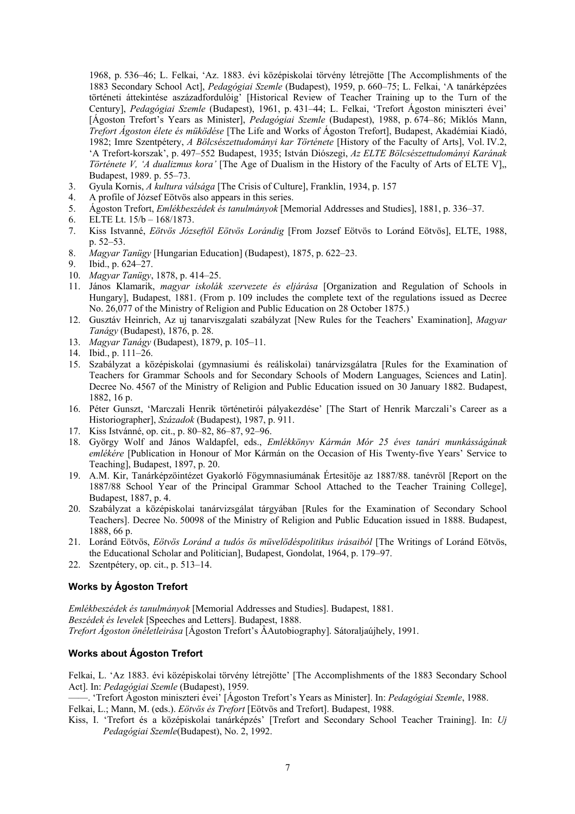1968, p. 536–46; L. Felkai, 'Az. 1883. évi középiskolai törvény létrejötte [The Accomplishments of the 1883 Secondary School Act], *Pedagógiai Szemle* (Budapest), 1959, p. 660–75; L. Felkai, 'A tanárképzées történeti áttekintése aszázadfordulóig' [Historical Review of Teacher Training up to the Turn of the Century], *Pedagógiai Szemle* (Budapest), 1961, p. 431–44; L. Felkai, 'Trefort Ágoston miniszteri évei' [Ágoston Trefort's Years as Minister], *Pedagógiai Szemle* (Budapest), 1988, p. 674–86; Miklós Mann, *Trefort Ágoston élete és müködése* [The Life and Works of Ágoston Trefort], Budapest, Akadémiai Kiadó, 1982; Imre Szentpétery, *A Bölcsészettudományi kar Története* [History of the Faculty of Arts], Vol. IV.2, 'A Trefort-korszak', p. 497–552 Budapest, 1935; István Diószegi, *Az ELTE Bölcsészettudományi Karának Története V, 'A dualizmus kora'* [The Age of Dualism in the History of the Faculty of Arts of ELTE V],, Budapest, 1989. p. 55–73.

- 3. Gyula Kornis, *A kultura válsága* [The Crisis of Culture], Franklin, 1934, p. 157
- 4. A profile of József Eötvös also appears in this series.
- 5. Ágoston Trefort, *Emlékbeszédek és tanulmányok* [Memorial Addresses and Studies], 1881, p. 336–37.
- 6. ELTE Lt. 15/b 168/1873.
- 7. Kiss Istvanné, *Eötvös Józseftöl Eötvös Lorándig* [From Jozsef Eötvös to Loránd Eötvös], ELTE, 1988, p. 52–53.
- 8. *Magyar Tanügy* [Hungarian Education] (Budapest), 1875, p. 622–23.
- 9. Ibid., p. 624–27.
- 10. *Magyar Tanügy*, 1878, p. 414–25.
- 11. János Klamarik, *magyar iskolák szervezete és eljárása* [Organization and Regulation of Schools in Hungary], Budapest, 1881. (From p. 109 includes the complete text of the regulations issued as Decree No. 26,077 of the Ministry of Religion and Public Education on 28 October 1875.)
- 12. Gusztáv Heinrich, Az uj tanarviszgalati szabályzat [New Rules for the Teachers' Examination], *Magyar Tanágy* (Budapest), 1876, p. 28.
- 13. *Magyar Tanágy* (Budapest), 1879, p. 105–11.
- 14. Ibid., p. 111–26.
- 15. Szabályzat a középiskolai (gymnasiumi és reáliskolai) tanárvizsgálatra [Rules for the Examination of Teachers for Grammar Schools and for Secondary Schools of Modern Languages, Sciences and Latin]. Decree No. 4567 of the Ministry of Religion and Public Education issued on 30 January 1882. Budapest, 1882, 16 p.
- 16. Péter Gunszt, 'Marczali Henrik történetirói pályakezdése' [The Start of Henrik Marczali's Career as a Historiographer], *Századok* (Budapest), 1987, p. 911.
- 17. Kiss Istvánné, op. cit., p. 80–82, 86–87, 92–96.
- 18. György Wolf and János Waldapfel, eds., *Emlékkönyv Kármán Mór 25 éves tanári munkásságának emlékére* [Publication in Honour of Mor Kármán on the Occasion of His Twenty-five Years' Service to Teaching], Budapest, 1897, p. 20.
- 19. A.M. Kir, Tanárképzöintézet Gyakorló Fögymnasiumának Értesitöje az 1887/88. tanévröl [Report on the 1887/88 School Year of the Principal Grammar School Attached to the Teacher Training College], Budapest, 1887, p. 4.
- 20. Szabályzat a középiskolai tanárvizsgálat tárgyában [Rules for the Examination of Secondary School Teachers]. Decree No. 50098 of the Ministry of Religion and Public Education issued in 1888. Budapest, 1888, 66 p.
- 21. Loránd Eötvös, *Eötvös Loránd a tudós ös müvelödéspolitikus irásaiból* [The Writings of Loránd Eötvös, the Educational Scholar and Politician], Budapest, Gondolat, 1964, p. 179–97.
- 22. Szentpétery, op. cit., p. 513–14.

## **Works by Ágoston Trefort**

*Emlékbeszédek és tanulmányok* [Memorial Addresses and Studies]. Budapest, 1881. *Beszédek és levelek* [Speeches and Letters]. Budapest, 1888. *Trefort Ágoston önéletleirása* [Ágoston Trefort's ÂAutobiography]. Sátoraljaújhely, 1991.

### **Works about Ágoston Trefort**

Felkai, L. 'Az 1883. évi középiskolai törvény létrejötte' [The Accomplishments of the 1883 Secondary School Act]. In: *Pedagógiai Szemle* (Budapest), 1959.

——. 'Trefort Ágoston miniszteri évei' [Ágoston Trefort's Years as Minister]. In: *Pedagógiai Szemle*, 1988. Felkai, L.; Mann, M. (eds.). *Eötvös és Trefort* [Eötvös and Trefort]. Budapest, 1988.

Kiss, I. 'Trefort és a középiskolai tanárképzés' [Trefort and Secondary School Teacher Training]. In: *Uj Pedagógiai Szemle*(Budapest), No. 2, 1992.